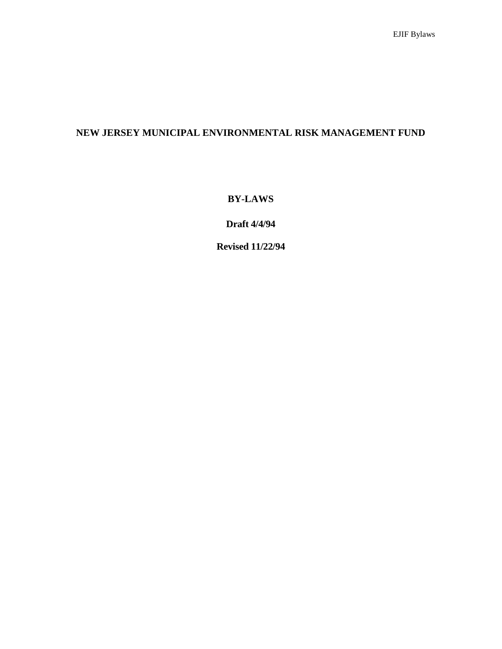# **NEW JERSEY MUNICIPAL ENVIRONMENTAL RISK MANAGEMENT FUND**

**BY-LAWS**

**Draft 4/4/94**

**Revised 11/22/94**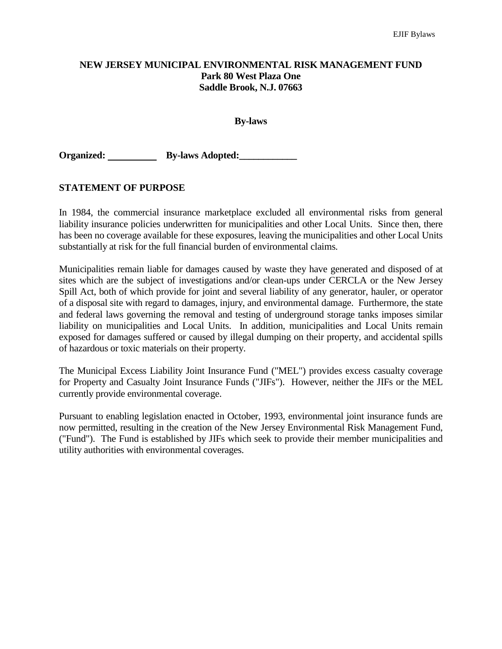### **NEW JERSEY MUNICIPAL ENVIRONMENTAL RISK MANAGEMENT FUND Park 80 West Plaza One Saddle Brook, N.J. 07663**

#### **By-laws**

**Organized:** By-laws Adopted:

### **STATEMENT OF PURPOSE**

In 1984, the commercial insurance marketplace excluded all environmental risks from general liability insurance policies underwritten for municipalities and other Local Units. Since then, there has been no coverage available for these exposures, leaving the municipalities and other Local Units substantially at risk for the full financial burden of environmental claims.

Municipalities remain liable for damages caused by waste they have generated and disposed of at sites which are the subject of investigations and/or clean-ups under CERCLA or the New Jersey Spill Act, both of which provide for joint and several liability of any generator, hauler, or operator of a disposal site with regard to damages, injury, and environmental damage. Furthermore, the state and federal laws governing the removal and testing of underground storage tanks imposes similar liability on municipalities and Local Units. In addition, municipalities and Local Units remain exposed for damages suffered or caused by illegal dumping on their property, and accidental spills of hazardous or toxic materials on their property.

The Municipal Excess Liability Joint Insurance Fund ("MEL") provides excess casualty coverage for Property and Casualty Joint Insurance Funds ("JIFs"). However, neither the JIFs or the MEL currently provide environmental coverage.

Pursuant to enabling legislation enacted in October, 1993, environmental joint insurance funds are now permitted, resulting in the creation of the New Jersey Environmental Risk Management Fund, ("Fund"). The Fund is established by JIFs which seek to provide their member municipalities and utility authorities with environmental coverages.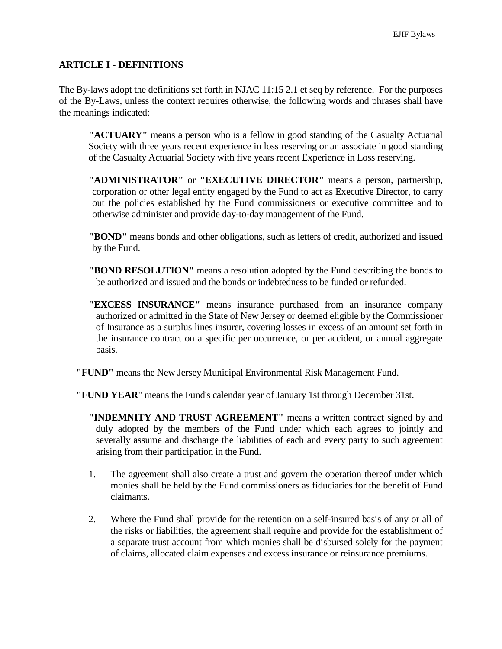### **ARTICLE I - DEFINITIONS**

The By-laws adopt the definitions set forth in NJAC 11:15 2.1 et seq by reference. For the purposes of the By-Laws, unless the context requires otherwise, the following words and phrases shall have the meanings indicated:

**"ACTUARY"** means a person who is a fellow in good standing of the Casualty Actuarial Society with three years recent experience in loss reserving or an associate in good standing of the Casualty Actuarial Society with five years recent Experience in Loss reserving.

**"ADMINISTRATOR"** or **"EXECUTIVE DIRECTOR"** means a person, partnership, corporation or other legal entity engaged by the Fund to act as Executive Director, to carry out the policies established by the Fund commissioners or executive committee and to otherwise administer and provide day-to-day management of the Fund.

**"BOND"** means bonds and other obligations, such as letters of credit, authorized and issued by the Fund.

- **"BOND RESOLUTION"** means a resolution adopted by the Fund describing the bonds to be authorized and issued and the bonds or indebtedness to be funded or refunded.
- **"EXCESS INSURANCE"** means insurance purchased from an insurance company authorized or admitted in the State of New Jersey or deemed eligible by the Commissioner of Insurance as a surplus lines insurer, covering losses in excess of an amount set forth in the insurance contract on a specific per occurrence, or per accident, or annual aggregate basis.
- **"FUND"** means the New Jersey Municipal Environmental Risk Management Fund.

**"FUND YEAR**" means the Fund's calendar year of January 1st through December 31st.

- **"INDEMNITY AND TRUST AGREEMENT"** means a written contract signed by and duly adopted by the members of the Fund under which each agrees to jointly and severally assume and discharge the liabilities of each and every party to such agreement arising from their participation in the Fund.
- 1. The agreement shall also create a trust and govern the operation thereof under which monies shall be held by the Fund commissioners as fiduciaries for the benefit of Fund claimants.
- 2. Where the Fund shall provide for the retention on a self-insured basis of any or all of the risks or liabilities, the agreement shall require and provide for the establishment of a separate trust account from which monies shall be disbursed solely for the payment of claims, allocated claim expenses and excess insurance or reinsurance premiums.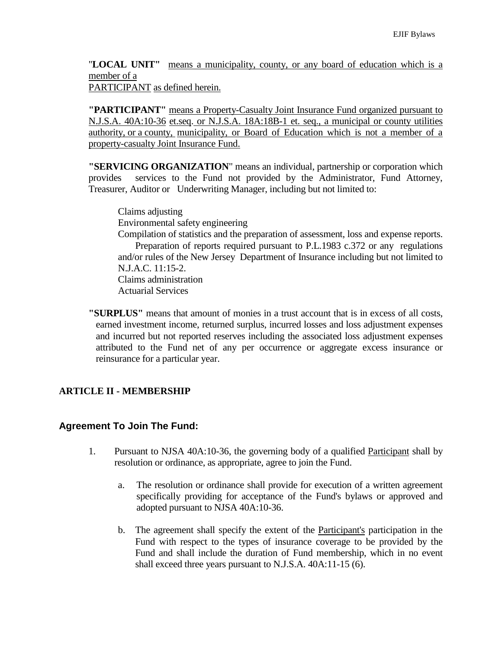"**LOCAL UNIT"** means a municipality, county, or any board of education which is a member of a

PARTICIPANT as defined herein.

**"PARTICIPANT"** means a Property-Casualty Joint Insurance Fund organized pursuant to N.J.S.A. 40A:10-36 et.seq. or N.J.S.A. 18A:18B-1 et. seq., a municipal or county utilities authority, or a county, municipality, or Board of Education which is not a member of a property-casualty Joint Insurance Fund.

**"SERVICING ORGANIZATION**" means an individual, partnership or corporation which provides services to the Fund not provided by the Administrator, Fund Attorney, Treasurer, Auditor or Underwriting Manager, including but not limited to:

Claims adjusting Environmental safety engineering

Compilation of statistics and the preparation of assessment, loss and expense reports. Preparation of reports required pursuant to P.L.1983 c.372 or any regulations and/or rules of the New Jersey Department of Insurance including but not limited to N.J.A.C. 11:15-2. Claims administration Actuarial Services

**"SURPLUS"** means that amount of monies in a trust account that is in excess of all costs, earned investment income, returned surplus, incurred losses and loss adjustment expenses and incurred but not reported reserves including the associated loss adjustment expenses attributed to the Fund net of any per occurrence or aggregate excess insurance or reinsurance for a particular year.

# **ARTICLE II - MEMBERSHIP**

### **Agreement To Join The Fund:**

- 1. Pursuant to NJSA 40A:10-36, the governing body of a qualified Participant shall by resolution or ordinance, as appropriate, agree to join the Fund.
	- a. The resolution or ordinance shall provide for execution of a written agreement specifically providing for acceptance of the Fund's bylaws or approved and adopted pursuant to NJSA 40A:10-36.
	- b. The agreement shall specify the extent of the Participant's participation in the Fund with respect to the types of insurance coverage to be provided by the Fund and shall include the duration of Fund membership, which in no event shall exceed three years pursuant to N.J.S.A. 40A:11-15 (6).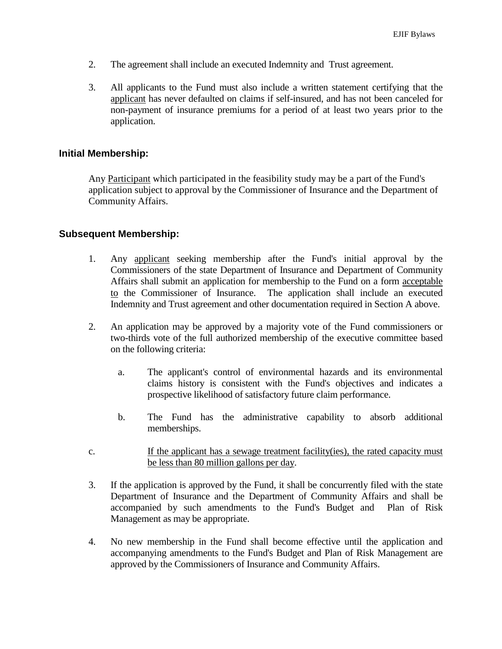- 2. The agreement shall include an executed Indemnity and Trust agreement.
- 3. All applicants to the Fund must also include a written statement certifying that the applicant has never defaulted on claims if self-insured, and has not been canceled for non-payment of insurance premiums for a period of at least two years prior to the application.

### **Initial Membership:**

Any Participant which participated in the feasibility study may be a part of the Fund's application subject to approval by the Commissioner of Insurance and the Department of Community Affairs.

### **Subsequent Membership:**

- 1. Any applicant seeking membership after the Fund's initial approval by the Commissioners of the state Department of Insurance and Department of Community Affairs shall submit an application for membership to the Fund on a form acceptable to the Commissioner of Insurance. The application shall include an executed Indemnity and Trust agreement and other documentation required in Section A above.
- 2. An application may be approved by a majority vote of the Fund commissioners or two-thirds vote of the full authorized membership of the executive committee based on the following criteria:
	- a. The applicant's control of environmental hazards and its environmental claims history is consistent with the Fund's objectives and indicates a prospective likelihood of satisfactory future claim performance.
	- b. The Fund has the administrative capability to absorb additional memberships.
- c. If the applicant has a sewage treatment facility(ies), the rated capacity must be less than 80 million gallons per day.
- 3. If the application is approved by the Fund, it shall be concurrently filed with the state Department of Insurance and the Department of Community Affairs and shall be accompanied by such amendments to the Fund's Budget and Plan of Risk Management as may be appropriate.
- 4. No new membership in the Fund shall become effective until the application and accompanying amendments to the Fund's Budget and Plan of Risk Management are approved by the Commissioners of Insurance and Community Affairs.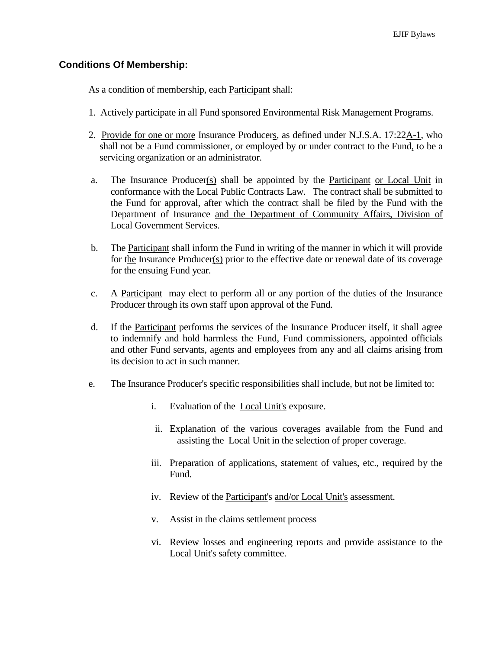### **Conditions Of Membership:**

As a condition of membership, each Participant shall:

- 1. Actively participate in all Fund sponsored Environmental Risk Management Programs.
- 2. Provide for one or more Insurance Producers, as defined under N.J.S.A. 17:22A-1, who shall not be a Fund commissioner, or employed by or under contract to the Fund, to be a servicing organization or an administrator.
- a. The Insurance Producer(s) shall be appointed by the Participant or Local Unit in conformance with the Local Public Contracts Law. The contract shall be submitted to the Fund for approval, after which the contract shall be filed by the Fund with the Department of Insurance and the Department of Community Affairs, Division of Local Government Services.
- b. The Participant shall inform the Fund in writing of the manner in which it will provide for the Insurance Producer(s) prior to the effective date or renewal date of its coverage for the ensuing Fund year.
- c. A Participant may elect to perform all or any portion of the duties of the Insurance Producer through its own staff upon approval of the Fund.
- d. If the Participant performs the services of the Insurance Producer itself, it shall agree to indemnify and hold harmless the Fund, Fund commissioners, appointed officials and other Fund servants, agents and employees from any and all claims arising from its decision to act in such manner.
- e. The Insurance Producer's specific responsibilities shall include, but not be limited to:
	- i. Evaluation of the Local Unit's exposure.
	- ii. Explanation of the various coverages available from the Fund and assisting the Local Unit in the selection of proper coverage.
	- iii. Preparation of applications, statement of values, etc., required by the Fund.
	- iv. Review of the Participant's and/or Local Unit's assessment.
	- v. Assist in the claims settlement process
	- vi. Review losses and engineering reports and provide assistance to the Local Unit's safety committee.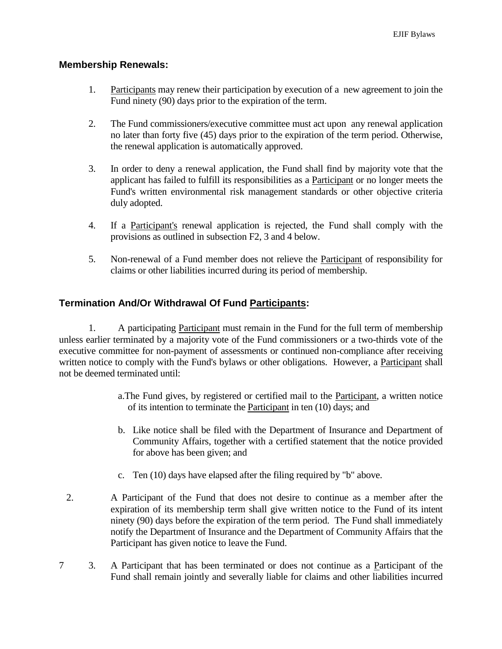### **Membership Renewals:**

- 1. Participants may renew their participation by execution of a new agreement to join the Fund ninety (90) days prior to the expiration of the term.
- 2. The Fund commissioners/executive committee must act upon any renewal application no later than forty five (45) days prior to the expiration of the term period. Otherwise, the renewal application is automatically approved.
- 3. In order to deny a renewal application, the Fund shall find by majority vote that the applicant has failed to fulfill its responsibilities as a Participant or no longer meets the Fund's written environmental risk management standards or other objective criteria duly adopted.
- 4. If a Participant's renewal application is rejected, the Fund shall comply with the provisions as outlined in subsection F2, 3 and 4 below.
- 5. Non-renewal of a Fund member does not relieve the Participant of responsibility for claims or other liabilities incurred during its period of membership.

## **Termination And/Or Withdrawal Of Fund Participants:**

1. A participating Participant must remain in the Fund for the full term of membership unless earlier terminated by a majority vote of the Fund commissioners or a two-thirds vote of the executive committee for non-payment of assessments or continued non-compliance after receiving written notice to comply with the Fund's bylaws or other obligations. However, a Participant shall not be deemed terminated until:

- a.The Fund gives, by registered or certified mail to the Participant, a written notice of its intention to terminate the Participant in ten (10) days; and
- b. Like notice shall be filed with the Department of Insurance and Department of Community Affairs, together with a certified statement that the notice provided for above has been given; and
- c. Ten (10) days have elapsed after the filing required by "b" above.
- 2. A Participant of the Fund that does not desire to continue as a member after the expiration of its membership term shall give written notice to the Fund of its intent ninety (90) days before the expiration of the term period. The Fund shall immediately notify the Department of Insurance and the Department of Community Affairs that the Participant has given notice to leave the Fund.
- 7 3. A Participant that has been terminated or does not continue as a Participant of the Fund shall remain jointly and severally liable for claims and other liabilities incurred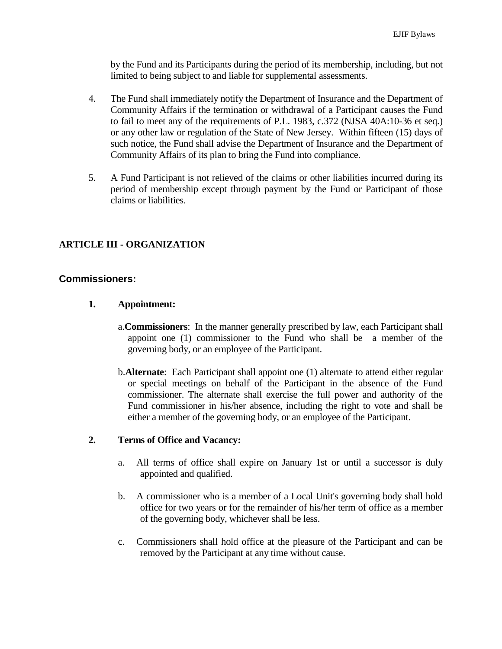by the Fund and its Participants during the period of its membership, including, but not limited to being subject to and liable for supplemental assessments.

- 4. The Fund shall immediately notify the Department of Insurance and the Department of Community Affairs if the termination or withdrawal of a Participant causes the Fund to fail to meet any of the requirements of P.L. 1983, c.372 (NJSA 40A:10-36 et seq.) or any other law or regulation of the State of New Jersey. Within fifteen (15) days of such notice, the Fund shall advise the Department of Insurance and the Department of Community Affairs of its plan to bring the Fund into compliance.
- 5. A Fund Participant is not relieved of the claims or other liabilities incurred during its period of membership except through payment by the Fund or Participant of those claims or liabilities.

## **ARTICLE III - ORGANIZATION**

### **Commissioners:**

### **1. Appointment:**

- a.**Commissioners**: In the manner generally prescribed by law, each Participant shall appoint one (1) commissioner to the Fund who shall be a member of the governing body, or an employee of the Participant.
- b.**Alternate**: Each Participant shall appoint one (1) alternate to attend either regular or special meetings on behalf of the Participant in the absence of the Fund commissioner. The alternate shall exercise the full power and authority of the Fund commissioner in his/her absence, including the right to vote and shall be either a member of the governing body, or an employee of the Participant.

#### **2. Terms of Office and Vacancy:**

- a. All terms of office shall expire on January 1st or until a successor is duly appointed and qualified.
- b. A commissioner who is a member of a Local Unit's governing body shall hold office for two years or for the remainder of his/her term of office as a member of the governing body, whichever shall be less.
- c. Commissioners shall hold office at the pleasure of the Participant and can be removed by the Participant at any time without cause.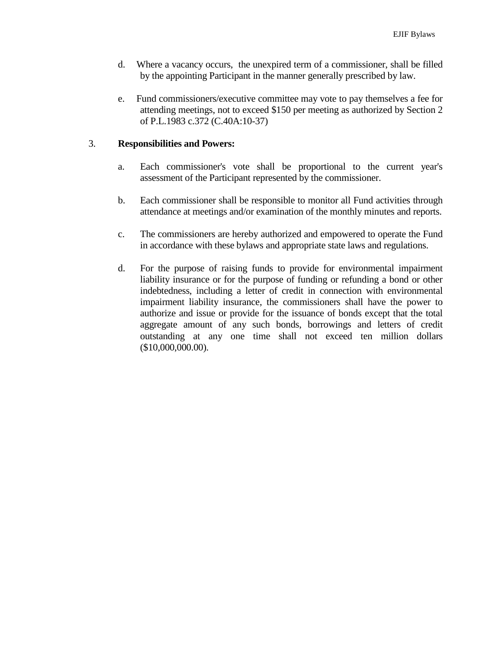- d. Where a vacancy occurs, the unexpired term of a commissioner, shall be filled by the appointing Participant in the manner generally prescribed by law.
- e. Fund commissioners/executive committee may vote to pay themselves a fee for attending meetings, not to exceed \$150 per meeting as authorized by Section 2 of P.L.1983 c.372 (C.40A:10-37)

### 3. **Responsibilities and Powers:**

- a. Each commissioner's vote shall be proportional to the current year's assessment of the Participant represented by the commissioner.
- b. Each commissioner shall be responsible to monitor all Fund activities through attendance at meetings and/or examination of the monthly minutes and reports.
- c. The commissioners are hereby authorized and empowered to operate the Fund in accordance with these bylaws and appropriate state laws and regulations.
- d. For the purpose of raising funds to provide for environmental impairment liability insurance or for the purpose of funding or refunding a bond or other indebtedness, including a letter of credit in connection with environmental impairment liability insurance, the commissioners shall have the power to authorize and issue or provide for the issuance of bonds except that the total aggregate amount of any such bonds, borrowings and letters of credit outstanding at any one time shall not exceed ten million dollars (\$10,000,000.00).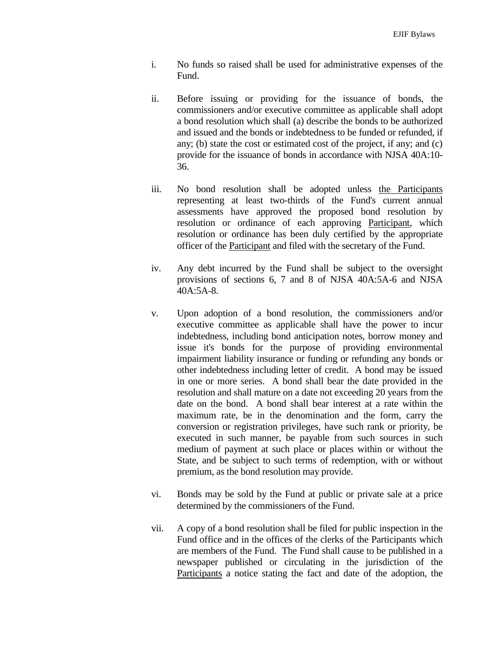- i. No funds so raised shall be used for administrative expenses of the Fund.
- ii. Before issuing or providing for the issuance of bonds, the commissioners and/or executive committee as applicable shall adopt a bond resolution which shall (a) describe the bonds to be authorized and issued and the bonds or indebtedness to be funded or refunded, if any; (b) state the cost or estimated cost of the project, if any; and (c) provide for the issuance of bonds in accordance with NJSA 40A:10- 36.
- iii. No bond resolution shall be adopted unless the Participants representing at least two-thirds of the Fund's current annual assessments have approved the proposed bond resolution by resolution or ordinance of each approving Participant, which resolution or ordinance has been duly certified by the appropriate officer of the Participant and filed with the secretary of the Fund.
- iv. Any debt incurred by the Fund shall be subject to the oversight provisions of sections 6, 7 and 8 of NJSA 40A:5A-6 and NJSA  $40A:5A-8$
- v. Upon adoption of a bond resolution, the commissioners and/or executive committee as applicable shall have the power to incur indebtedness, including bond anticipation notes, borrow money and issue it's bonds for the purpose of providing environmental impairment liability insurance or funding or refunding any bonds or other indebtedness including letter of credit. A bond may be issued in one or more series. A bond shall bear the date provided in the resolution and shall mature on a date not exceeding 20 years from the date on the bond. A bond shall bear interest at a rate within the maximum rate, be in the denomination and the form, carry the conversion or registration privileges, have such rank or priority, be executed in such manner, be payable from such sources in such medium of payment at such place or places within or without the State, and be subject to such terms of redemption, with or without premium, as the bond resolution may provide.
- vi. Bonds may be sold by the Fund at public or private sale at a price determined by the commissioners of the Fund.
- vii. A copy of a bond resolution shall be filed for public inspection in the Fund office and in the offices of the clerks of the Participants which are members of the Fund. The Fund shall cause to be published in a newspaper published or circulating in the jurisdiction of the Participants a notice stating the fact and date of the adoption, the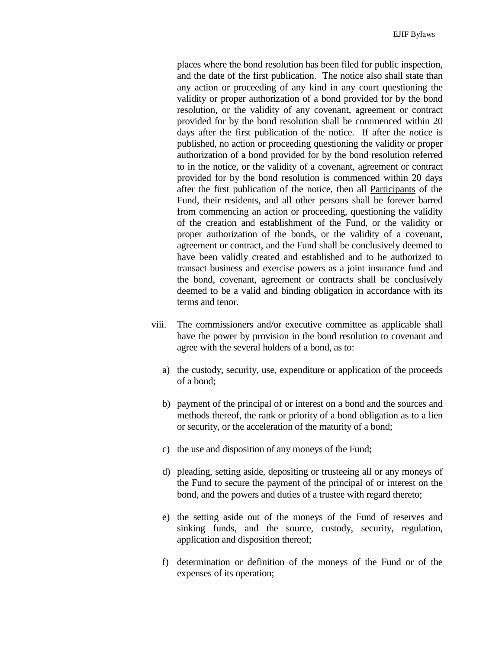places where the bond resolution has been filed for public inspection, and the date of the first publication. The notice also shall state than any action or proceeding of any kind in any court questioning the validity or proper authorization of a bond provided for by the bond resolution, or the validity of any covenant, agreement or contract provided for by the bond resolution shall be commenced within 20 days after the first publication of the notice. If after the notice is published, no action or proceeding questioning the validity or proper authorization of a bond provided for by the bond resolution referred to in the notice, or the validity of a covenant, agreement or contract provided for by the bond resolution is commenced within 20 days after the first publication of the notice, then all Participants of the Fund, their residents, and all other persons shall be forever barred from commencing an action or proceeding, questioning the validity of the creation and establishment of the Fund, or the validity or proper authorization of the bonds, or the validity of a covenant, agreement or contract, and the Fund shall be conclusively deemed to have been validly created and established and to be authorized to transact business and exercise powers as a joint insurance fund and the bond, covenant, agreement or contracts shall be conclusively deemed to be a valid and binding obligation in accordance with its terms and tenor.

- viii. The commissioners and/or executive committee as applicable shall have the power by provision in the bond resolution to covenant and agree with the several holders of a bond, as to:
	- a) the custody, security, use, expenditure or application of the proceeds of a bond;
	- b) payment of the principal of or interest on a bond and the sources and methods thereof, the rank or priority of a bond obligation as to a lien or security, or the acceleration of the maturity of a bond;
	- c) the use and disposition of any moneys of the Fund;
	- d) pleading, setting aside, depositing or trusteeing all or any moneys of the Fund to secure the payment of the principal of or interest on the bond, and the powers and duties of a trustee with regard thereto;
	- e) the setting aside out of the moneys of the Fund of reserves and sinking funds, and the source, custody, security, regulation, application and disposition thereof;
	- f) determination or definition of the moneys of the Fund or of the expenses of its operation;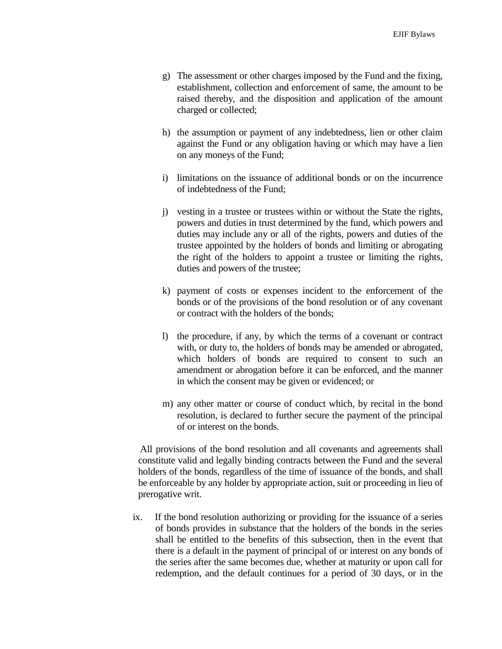- g) The assessment or other charges imposed by the Fund and the fixing, establishment, collection and enforcement of same, the amount to be raised thereby, and the disposition and application of the amount charged or collected;
- h) the assumption or payment of any indebtedness, lien or other claim against the Fund or any obligation having or which may have a lien on any moneys of the Fund;
- i) limitations on the issuance of additional bonds or on the incurrence of indebtedness of the Fund;
- j) vesting in a trustee or trustees within or without the State the rights, powers and duties in trust determined by the fund, which powers and duties may include any or all of the rights, powers and duties of the trustee appointed by the holders of bonds and limiting or abrogating the right of the holders to appoint a trustee or limiting the rights, duties and powers of the trustee;
- k) payment of costs or expenses incident to the enforcement of the bonds or of the provisions of the bond resolution or of any covenant or contract with the holders of the bonds;
- l) the procedure, if any, by which the terms of a covenant or contract with, or duty to, the holders of bonds may be amended or abrogated, which holders of bonds are required to consent to such an amendment or abrogation before it can be enforced, and the manner in which the consent may be given or evidenced; or
- m) any other matter or course of conduct which, by recital in the bond resolution, is declared to further secure the payment of the principal of or interest on the bonds.

All provisions of the bond resolution and all covenants and agreements shall constitute valid and legally binding contracts between the Fund and the several holders of the bonds, regardless of the time of issuance of the bonds, and shall be enforceable by any holder by appropriate action, suit or proceeding in lieu of prerogative writ.

ix. If the bond resolution authorizing or providing for the issuance of a series of bonds provides in substance that the holders of the bonds in the series shall be entitled to the benefits of this subsection, then in the event that there is a default in the payment of principal of or interest on any bonds of the series after the same becomes due, whether at maturity or upon call for redemption, and the default continues for a period of 30 days, or in the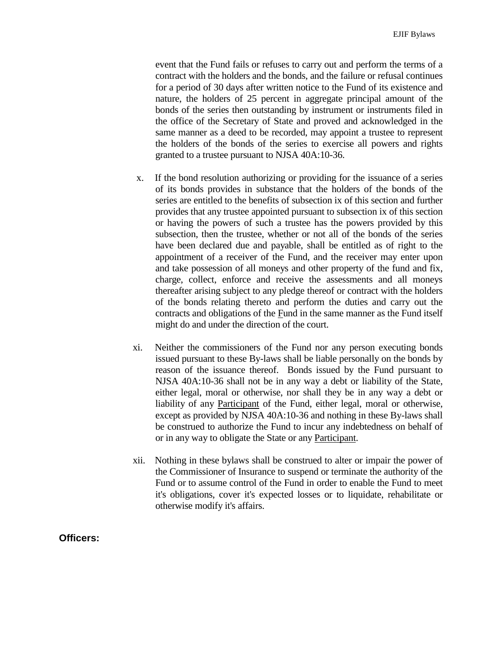event that the Fund fails or refuses to carry out and perform the terms of a contract with the holders and the bonds, and the failure or refusal continues for a period of 30 days after written notice to the Fund of its existence and nature, the holders of 25 percent in aggregate principal amount of the bonds of the series then outstanding by instrument or instruments filed in the office of the Secretary of State and proved and acknowledged in the same manner as a deed to be recorded, may appoint a trustee to represent the holders of the bonds of the series to exercise all powers and rights granted to a trustee pursuant to NJSA 40A:10-36.

- x. If the bond resolution authorizing or providing for the issuance of a series of its bonds provides in substance that the holders of the bonds of the series are entitled to the benefits of subsection ix of this section and further provides that any trustee appointed pursuant to subsection ix of this section or having the powers of such a trustee has the powers provided by this subsection, then the trustee, whether or not all of the bonds of the series have been declared due and payable, shall be entitled as of right to the appointment of a receiver of the Fund, and the receiver may enter upon and take possession of all moneys and other property of the fund and fix, charge, collect, enforce and receive the assessments and all moneys thereafter arising subject to any pledge thereof or contract with the holders of the bonds relating thereto and perform the duties and carry out the contracts and obligations of the Fund in the same manner as the Fund itself might do and under the direction of the court.
- xi. Neither the commissioners of the Fund nor any person executing bonds issued pursuant to these By-laws shall be liable personally on the bonds by reason of the issuance thereof. Bonds issued by the Fund pursuant to NJSA 40A:10-36 shall not be in any way a debt or liability of the State, either legal, moral or otherwise, nor shall they be in any way a debt or liability of any Participant of the Fund, either legal, moral or otherwise, except as provided by NJSA 40A:10-36 and nothing in these By-laws shall be construed to authorize the Fund to incur any indebtedness on behalf of or in any way to obligate the State or any Participant.
- xii. Nothing in these bylaws shall be construed to alter or impair the power of the Commissioner of Insurance to suspend or terminate the authority of the Fund or to assume control of the Fund in order to enable the Fund to meet it's obligations, cover it's expected losses or to liquidate, rehabilitate or otherwise modify it's affairs.

### **Officers:**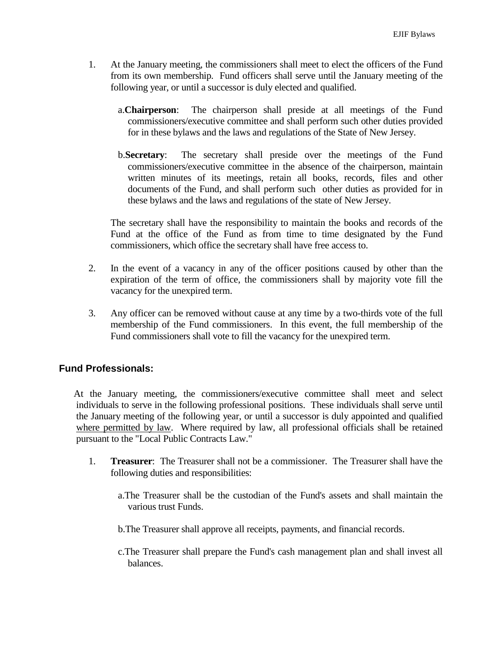- 1. At the January meeting, the commissioners shall meet to elect the officers of the Fund from its own membership. Fund officers shall serve until the January meeting of the following year, or until a successor is duly elected and qualified.
	- a.**Chairperson**: The chairperson shall preside at all meetings of the Fund commissioners/executive committee and shall perform such other duties provided for in these bylaws and the laws and regulations of the State of New Jersey.
	- b.**Secretary**: The secretary shall preside over the meetings of the Fund commissioners/executive committee in the absence of the chairperson, maintain written minutes of its meetings, retain all books, records, files and other documents of the Fund, and shall perform such other duties as provided for in these bylaws and the laws and regulations of the state of New Jersey.

The secretary shall have the responsibility to maintain the books and records of the Fund at the office of the Fund as from time to time designated by the Fund commissioners, which office the secretary shall have free access to.

- 2. In the event of a vacancy in any of the officer positions caused by other than the expiration of the term of office, the commissioners shall by majority vote fill the vacancy for the unexpired term.
- 3. Any officer can be removed without cause at any time by a two-thirds vote of the full membership of the Fund commissioners. In this event, the full membership of the Fund commissioners shall vote to fill the vacancy for the unexpired term.

# **Fund Professionals:**

At the January meeting, the commissioners/executive committee shall meet and select individuals to serve in the following professional positions. These individuals shall serve until the January meeting of the following year, or until a successor is duly appointed and qualified where permitted by law. Where required by law, all professional officials shall be retained pursuant to the "Local Public Contracts Law."

- 1. **Treasurer**: The Treasurer shall not be a commissioner. The Treasurer shall have the following duties and responsibilities:
	- a.The Treasurer shall be the custodian of the Fund's assets and shall maintain the various trust Funds.
	- b.The Treasurer shall approve all receipts, payments, and financial records.
	- c.The Treasurer shall prepare the Fund's cash management plan and shall invest all balances.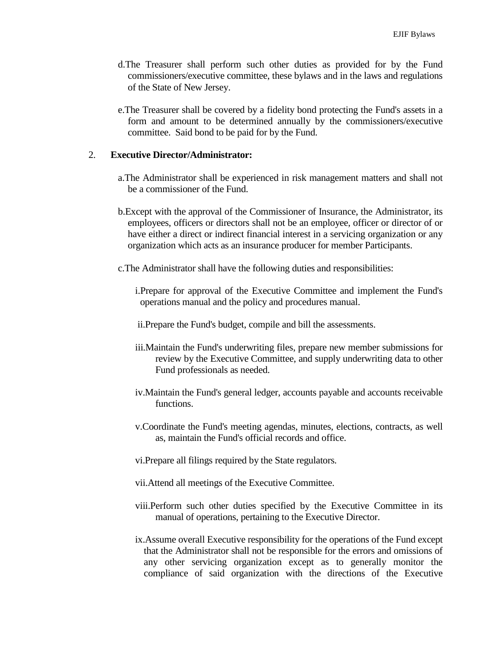- d.The Treasurer shall perform such other duties as provided for by the Fund commissioners/executive committee, these bylaws and in the laws and regulations of the State of New Jersey.
- e.The Treasurer shall be covered by a fidelity bond protecting the Fund's assets in a form and amount to be determined annually by the commissioners/executive committee. Said bond to be paid for by the Fund.

### 2. **Executive Director/Administrator:**

- a.The Administrator shall be experienced in risk management matters and shall not be a commissioner of the Fund.
- b.Except with the approval of the Commissioner of Insurance, the Administrator, its employees, officers or directors shall not be an employee, officer or director of or have either a direct or indirect financial interest in a servicing organization or any organization which acts as an insurance producer for member Participants.
- c.The Administrator shall have the following duties and responsibilities:
	- i.Prepare for approval of the Executive Committee and implement the Fund's operations manual and the policy and procedures manual.
	- ii.Prepare the Fund's budget, compile and bill the assessments.
	- iii.Maintain the Fund's underwriting files, prepare new member submissions for review by the Executive Committee, and supply underwriting data to other Fund professionals as needed.
	- iv.Maintain the Fund's general ledger, accounts payable and accounts receivable functions.
	- v.Coordinate the Fund's meeting agendas, minutes, elections, contracts, as well as, maintain the Fund's official records and office.
	- vi.Prepare all filings required by the State regulators.
	- vii.Attend all meetings of the Executive Committee.
	- viii.Perform such other duties specified by the Executive Committee in its manual of operations, pertaining to the Executive Director.
	- ix.Assume overall Executive responsibility for the operations of the Fund except that the Administrator shall not be responsible for the errors and omissions of any other servicing organization except as to generally monitor the compliance of said organization with the directions of the Executive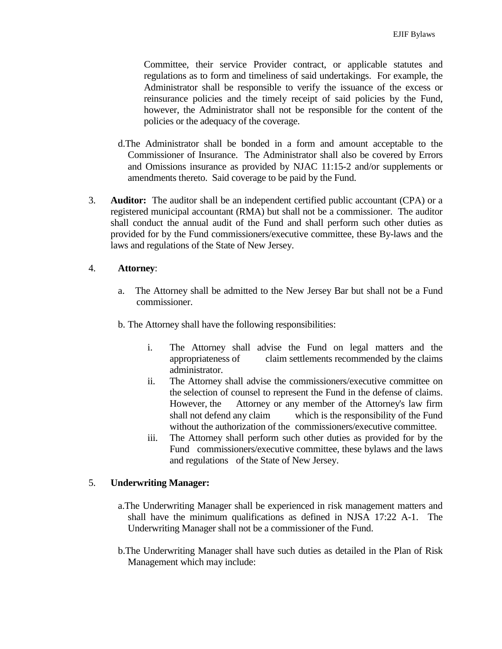Committee, their service Provider contract, or applicable statutes and regulations as to form and timeliness of said undertakings. For example, the Administrator shall be responsible to verify the issuance of the excess or reinsurance policies and the timely receipt of said policies by the Fund, however, the Administrator shall not be responsible for the content of the policies or the adequacy of the coverage.

- d.The Administrator shall be bonded in a form and amount acceptable to the Commissioner of Insurance. The Administrator shall also be covered by Errors and Omissions insurance as provided by NJAC 11:15-2 and/or supplements or amendments thereto. Said coverage to be paid by the Fund.
- 3. **Auditor:** The auditor shall be an independent certified public accountant (CPA) or a registered municipal accountant (RMA) but shall not be a commissioner. The auditor shall conduct the annual audit of the Fund and shall perform such other duties as provided for by the Fund commissioners/executive committee, these By-laws and the laws and regulations of the State of New Jersey.

### 4. **Attorney**:

- a. The Attorney shall be admitted to the New Jersey Bar but shall not be a Fund commissioner.
- b. The Attorney shall have the following responsibilities:
	- i. The Attorney shall advise the Fund on legal matters and the appropriateness of claim settlements recommended by the claims administrator.
	- ii. The Attorney shall advise the commissioners/executive committee on the selection of counsel to represent the Fund in the defense of claims. However, the Attorney or any member of the Attorney's law firm shall not defend any claim which is the responsibility of the Fund without the authorization of the commissioners/executive committee.
	- iii. The Attorney shall perform such other duties as provided for by the Fund commissioners/executive committee, these bylaws and the laws and regulations of the State of New Jersey.

### 5. **Underwriting Manager:**

- a.The Underwriting Manager shall be experienced in risk management matters and shall have the minimum qualifications as defined in NJSA 17:22 A-1. The Underwriting Manager shall not be a commissioner of the Fund.
- b.The Underwriting Manager shall have such duties as detailed in the Plan of Risk Management which may include: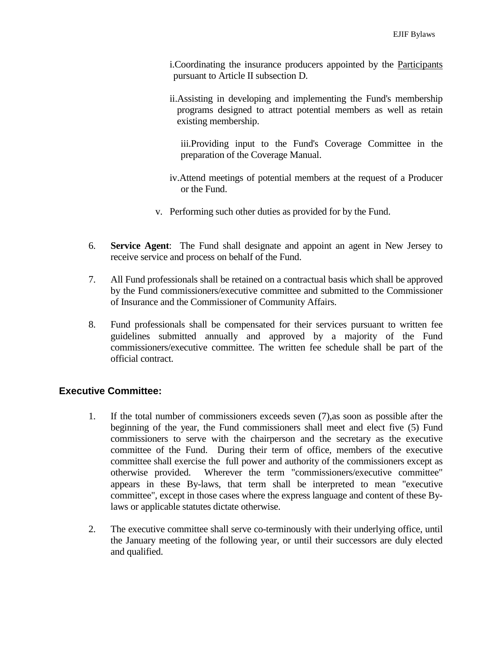- i.Coordinating the insurance producers appointed by the Participants pursuant to Article II subsection D.
- ii.Assisting in developing and implementing the Fund's membership programs designed to attract potential members as well as retain existing membership.
	- iii.Providing input to the Fund's Coverage Committee in the preparation of the Coverage Manual.
- iv.Attend meetings of potential members at the request of a Producer or the Fund.
- v. Performing such other duties as provided for by the Fund.
- 6. **Service Agent**: The Fund shall designate and appoint an agent in New Jersey to receive service and process on behalf of the Fund.
- 7. All Fund professionals shall be retained on a contractual basis which shall be approved by the Fund commissioners/executive committee and submitted to the Commissioner of Insurance and the Commissioner of Community Affairs.
- 8. Fund professionals shall be compensated for their services pursuant to written fee guidelines submitted annually and approved by a majority of the Fund commissioners/executive committee. The written fee schedule shall be part of the official contract.

# **Executive Committee:**

- 1. If the total number of commissioners exceeds seven (7),as soon as possible after the beginning of the year, the Fund commissioners shall meet and elect five (5) Fund commissioners to serve with the chairperson and the secretary as the executive committee of the Fund. During their term of office, members of the executive committee shall exercise the full power and authority of the commissioners except as otherwise provided. Wherever the term "commissioners/executive committee" appears in these By-laws, that term shall be interpreted to mean "executive committee", except in those cases where the express language and content of these Bylaws or applicable statutes dictate otherwise.
- 2. The executive committee shall serve co-terminously with their underlying office, until the January meeting of the following year, or until their successors are duly elected and qualified.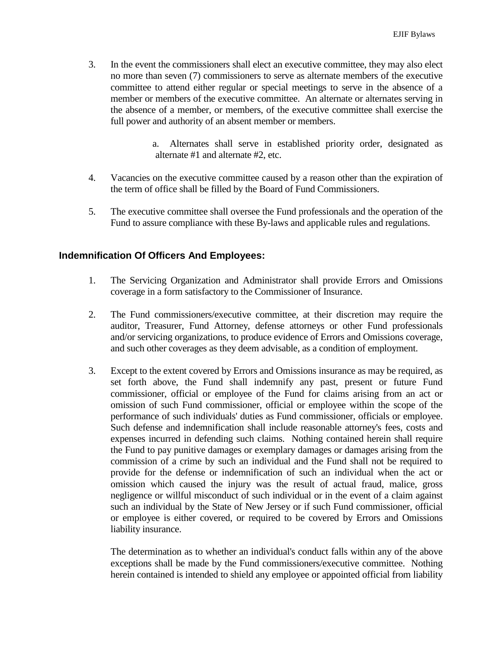3. In the event the commissioners shall elect an executive committee, they may also elect no more than seven (7) commissioners to serve as alternate members of the executive committee to attend either regular or special meetings to serve in the absence of a member or members of the executive committee. An alternate or alternates serving in the absence of a member, or members, of the executive committee shall exercise the full power and authority of an absent member or members.

> a. Alternates shall serve in established priority order, designated as alternate #1 and alternate #2, etc.

- 4. Vacancies on the executive committee caused by a reason other than the expiration of the term of office shall be filled by the Board of Fund Commissioners.
- 5. The executive committee shall oversee the Fund professionals and the operation of the Fund to assure compliance with these By-laws and applicable rules and regulations.

## **Indemnification Of Officers And Employees:**

- 1. The Servicing Organization and Administrator shall provide Errors and Omissions coverage in a form satisfactory to the Commissioner of Insurance.
- 2. The Fund commissioners/executive committee, at their discretion may require the auditor, Treasurer, Fund Attorney, defense attorneys or other Fund professionals and/or servicing organizations, to produce evidence of Errors and Omissions coverage, and such other coverages as they deem advisable, as a condition of employment.
- 3. Except to the extent covered by Errors and Omissions insurance as may be required, as set forth above, the Fund shall indemnify any past, present or future Fund commissioner, official or employee of the Fund for claims arising from an act or omission of such Fund commissioner, official or employee within the scope of the performance of such individuals' duties as Fund commissioner, officials or employee. Such defense and indemnification shall include reasonable attorney's fees, costs and expenses incurred in defending such claims. Nothing contained herein shall require the Fund to pay punitive damages or exemplary damages or damages arising from the commission of a crime by such an individual and the Fund shall not be required to provide for the defense or indemnification of such an individual when the act or omission which caused the injury was the result of actual fraud, malice, gross negligence or willful misconduct of such individual or in the event of a claim against such an individual by the State of New Jersey or if such Fund commissioner, official or employee is either covered, or required to be covered by Errors and Omissions liability insurance.

The determination as to whether an individual's conduct falls within any of the above exceptions shall be made by the Fund commissioners/executive committee. Nothing herein contained is intended to shield any employee or appointed official from liability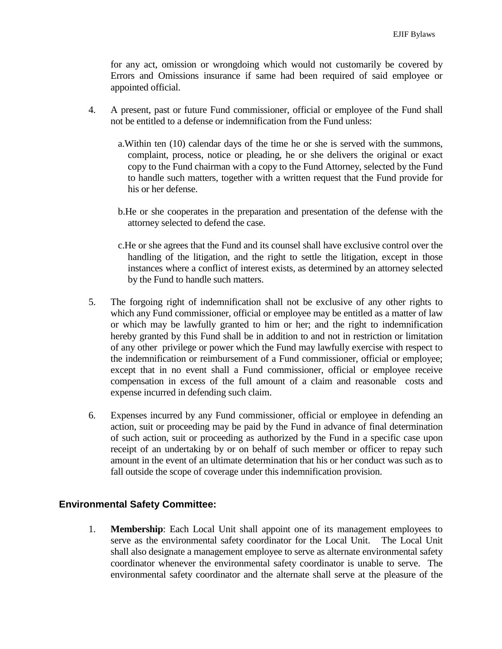for any act, omission or wrongdoing which would not customarily be covered by Errors and Omissions insurance if same had been required of said employee or appointed official.

- 4. A present, past or future Fund commissioner, official or employee of the Fund shall not be entitled to a defense or indemnification from the Fund unless:
	- a.Within ten (10) calendar days of the time he or she is served with the summons, complaint, process, notice or pleading, he or she delivers the original or exact copy to the Fund chairman with a copy to the Fund Attorney, selected by the Fund to handle such matters, together with a written request that the Fund provide for his or her defense.
	- b.He or she cooperates in the preparation and presentation of the defense with the attorney selected to defend the case.
	- c.He or she agrees that the Fund and its counsel shall have exclusive control over the handling of the litigation, and the right to settle the litigation, except in those instances where a conflict of interest exists, as determined by an attorney selected by the Fund to handle such matters.
- 5. The forgoing right of indemnification shall not be exclusive of any other rights to which any Fund commissioner, official or employee may be entitled as a matter of law or which may be lawfully granted to him or her; and the right to indemnification hereby granted by this Fund shall be in addition to and not in restriction or limitation of any other privilege or power which the Fund may lawfully exercise with respect to the indemnification or reimbursement of a Fund commissioner, official or employee; except that in no event shall a Fund commissioner, official or employee receive compensation in excess of the full amount of a claim and reasonable costs and expense incurred in defending such claim.
- 6. Expenses incurred by any Fund commissioner, official or employee in defending an action, suit or proceeding may be paid by the Fund in advance of final determination of such action, suit or proceeding as authorized by the Fund in a specific case upon receipt of an undertaking by or on behalf of such member or officer to repay such amount in the event of an ultimate determination that his or her conduct was such as to fall outside the scope of coverage under this indemnification provision.

### **Environmental Safety Committee:**

1. **Membership**: Each Local Unit shall appoint one of its management employees to serve as the environmental safety coordinator for the Local Unit. The Local Unit shall also designate a management employee to serve as alternate environmental safety coordinator whenever the environmental safety coordinator is unable to serve. The environmental safety coordinator and the alternate shall serve at the pleasure of the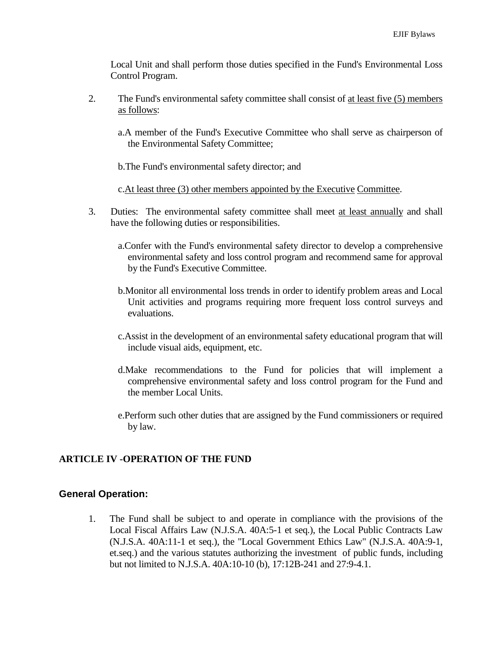Local Unit and shall perform those duties specified in the Fund's Environmental Loss Control Program.

- 2. The Fund's environmental safety committee shall consist of at least five (5) members as follows:
	- a.A member of the Fund's Executive Committee who shall serve as chairperson of the Environmental Safety Committee;
	- b.The Fund's environmental safety director; and

c.At least three (3) other members appointed by the Executive Committee.

- 3. Duties: The environmental safety committee shall meet at least annually and shall have the following duties or responsibilities.
	- a.Confer with the Fund's environmental safety director to develop a comprehensive environmental safety and loss control program and recommend same for approval by the Fund's Executive Committee.
	- b.Monitor all environmental loss trends in order to identify problem areas and Local Unit activities and programs requiring more frequent loss control surveys and evaluations.
	- c.Assist in the development of an environmental safety educational program that will include visual aids, equipment, etc.
	- d.Make recommendations to the Fund for policies that will implement a comprehensive environmental safety and loss control program for the Fund and the member Local Units.
	- e.Perform such other duties that are assigned by the Fund commissioners or required by law.

### **ARTICLE IV -OPERATION OF THE FUND**

### **General Operation:**

1. The Fund shall be subject to and operate in compliance with the provisions of the Local Fiscal Affairs Law (N.J.S.A. 40A:5-1 et seq.), the Local Public Contracts Law (N.J.S.A. 40A:11-1 et seq.), the "Local Government Ethics Law" (N.J.S.A. 40A:9-1, et.seq.) and the various statutes authorizing the investment of public funds, including but not limited to N.J.S.A. 40A:10-10 (b), 17:12B-241 and 27:9-4.1.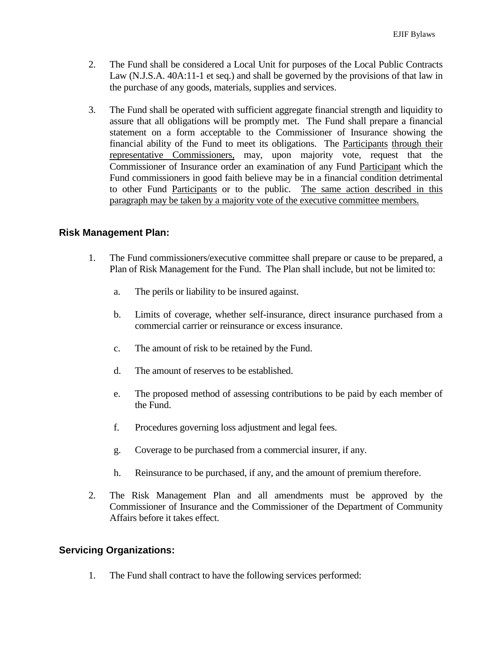- 2. The Fund shall be considered a Local Unit for purposes of the Local Public Contracts Law (N.J.S.A. 40A:11-1 et seq.) and shall be governed by the provisions of that law in the purchase of any goods, materials, supplies and services.
- 3. The Fund shall be operated with sufficient aggregate financial strength and liquidity to assure that all obligations will be promptly met. The Fund shall prepare a financial statement on a form acceptable to the Commissioner of Insurance showing the financial ability of the Fund to meet its obligations. The Participants through their representative Commissioners, may, upon majority vote, request that the Commissioner of Insurance order an examination of any Fund Participant which the Fund commissioners in good faith believe may be in a financial condition detrimental to other Fund Participants or to the public. The same action described in this paragraph may be taken by a majority vote of the executive committee members.

### **Risk Management Plan:**

- 1. The Fund commissioners/executive committee shall prepare or cause to be prepared, a Plan of Risk Management for the Fund. The Plan shall include, but not be limited to:
	- a. The perils or liability to be insured against.
	- b. Limits of coverage, whether self-insurance, direct insurance purchased from a commercial carrier or reinsurance or excess insurance.
	- c. The amount of risk to be retained by the Fund.
	- d. The amount of reserves to be established.
	- e. The proposed method of assessing contributions to be paid by each member of the Fund.
	- f. Procedures governing loss adjustment and legal fees.
	- g. Coverage to be purchased from a commercial insurer, if any.
	- h. Reinsurance to be purchased, if any, and the amount of premium therefore.
- 2. The Risk Management Plan and all amendments must be approved by the Commissioner of Insurance and the Commissioner of the Department of Community Affairs before it takes effect.

### **Servicing Organizations:**

1. The Fund shall contract to have the following services performed: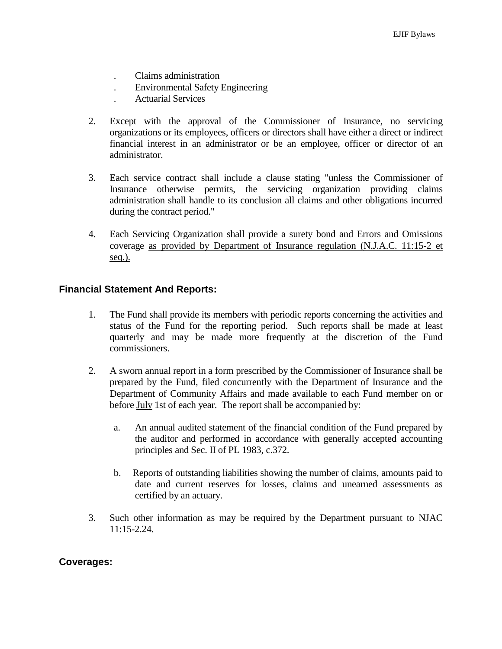- . Claims administration
- . Environmental Safety Engineering
- . Actuarial Services
- 2. Except with the approval of the Commissioner of Insurance, no servicing organizations or its employees, officers or directors shall have either a direct or indirect financial interest in an administrator or be an employee, officer or director of an administrator.
- 3. Each service contract shall include a clause stating "unless the Commissioner of Insurance otherwise permits, the servicing organization providing claims administration shall handle to its conclusion all claims and other obligations incurred during the contract period."
- 4. Each Servicing Organization shall provide a surety bond and Errors and Omissions coverage as provided by Department of Insurance regulation (N.J.A.C. 11:15-2 et seq.).

### **Financial Statement And Reports:**

- 1. The Fund shall provide its members with periodic reports concerning the activities and status of the Fund for the reporting period. Such reports shall be made at least quarterly and may be made more frequently at the discretion of the Fund commissioners.
- 2. A sworn annual report in a form prescribed by the Commissioner of Insurance shall be prepared by the Fund, filed concurrently with the Department of Insurance and the Department of Community Affairs and made available to each Fund member on or before **July** 1st of each year. The report shall be accompanied by:
	- a. An annual audited statement of the financial condition of the Fund prepared by the auditor and performed in accordance with generally accepted accounting principles and Sec. II of PL 1983, c.372.
	- b. Reports of outstanding liabilities showing the number of claims, amounts paid to date and current reserves for losses, claims and unearned assessments as certified by an actuary.
- 3. Such other information as may be required by the Department pursuant to NJAC  $11:15-2.24$ .

#### **Coverages:**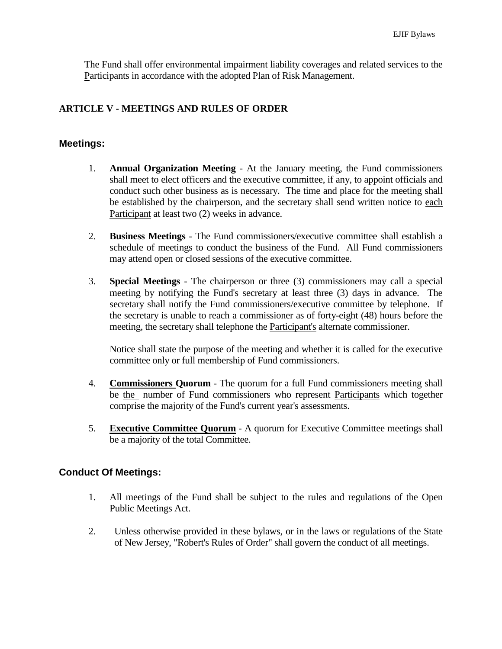The Fund shall offer environmental impairment liability coverages and related services to the Participants in accordance with the adopted Plan of Risk Management.

## **ARTICLE V - MEETINGS AND RULES OF ORDER**

### **Meetings:**

- 1. **Annual Organization Meeting** At the January meeting, the Fund commissioners shall meet to elect officers and the executive committee, if any, to appoint officials and conduct such other business as is necessary. The time and place for the meeting shall be established by the chairperson, and the secretary shall send written notice to each Participant at least two (2) weeks in advance.
- 2. **Business Meetings** The Fund commissioners/executive committee shall establish a schedule of meetings to conduct the business of the Fund. All Fund commissioners may attend open or closed sessions of the executive committee.
- 3. **Special Meetings** The chairperson or three (3) commissioners may call a special meeting by notifying the Fund's secretary at least three (3) days in advance. The secretary shall notify the Fund commissioners/executive committee by telephone. If the secretary is unable to reach a commissioner as of forty-eight (48) hours before the meeting, the secretary shall telephone the Participant's alternate commissioner.

Notice shall state the purpose of the meeting and whether it is called for the executive committee only or full membership of Fund commissioners.

- 4. **Commissioners Quorum** The quorum for a full Fund commissioners meeting shall be the number of Fund commissioners who represent Participants which together comprise the majority of the Fund's current year's assessments.
- 5. **Executive Committee Quorum** A quorum for Executive Committee meetings shall be a majority of the total Committee.

### **Conduct Of Meetings:**

- 1. All meetings of the Fund shall be subject to the rules and regulations of the Open Public Meetings Act.
- 2. Unless otherwise provided in these bylaws, or in the laws or regulations of the State of New Jersey, "Robert's Rules of Order" shall govern the conduct of all meetings.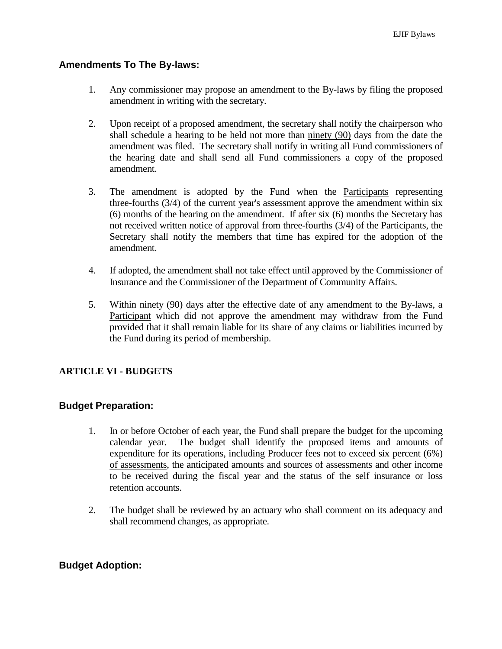### **Amendments To The By-laws:**

- 1. Any commissioner may propose an amendment to the By-laws by filing the proposed amendment in writing with the secretary.
- 2. Upon receipt of a proposed amendment, the secretary shall notify the chairperson who shall schedule a hearing to be held not more than ninety (90) days from the date the amendment was filed. The secretary shall notify in writing all Fund commissioners of the hearing date and shall send all Fund commissioners a copy of the proposed amendment.
- 3. The amendment is adopted by the Fund when the Participants representing three-fourths (3/4) of the current year's assessment approve the amendment within six (6) months of the hearing on the amendment. If after six (6) months the Secretary has not received written notice of approval from three-fourths (3/4) of the Participants, the Secretary shall notify the members that time has expired for the adoption of the amendment.
- 4. If adopted, the amendment shall not take effect until approved by the Commissioner of Insurance and the Commissioner of the Department of Community Affairs.
- 5. Within ninety (90) days after the effective date of any amendment to the By-laws, a Participant which did not approve the amendment may withdraw from the Fund provided that it shall remain liable for its share of any claims or liabilities incurred by the Fund during its period of membership.

### **ARTICLE VI - BUDGETS**

### **Budget Preparation:**

- 1. In or before October of each year, the Fund shall prepare the budget for the upcoming calendar year. The budget shall identify the proposed items and amounts of expenditure for its operations, including Producer fees not to exceed six percent (6%) of assessments, the anticipated amounts and sources of assessments and other income to be received during the fiscal year and the status of the self insurance or loss retention accounts.
- 2. The budget shall be reviewed by an actuary who shall comment on its adequacy and shall recommend changes, as appropriate.

### **Budget Adoption:**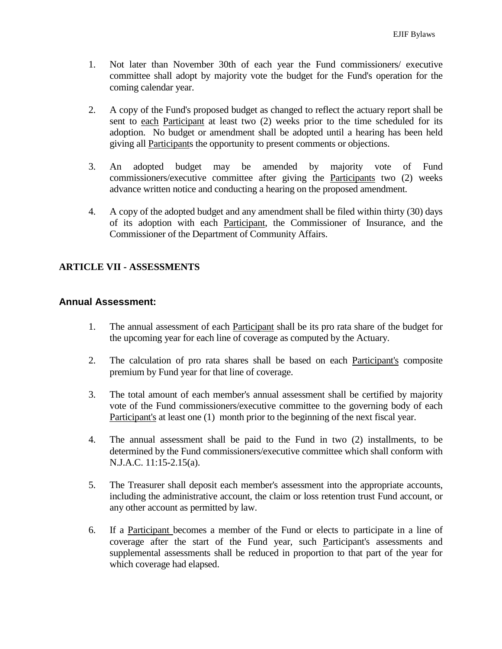- 1. Not later than November 30th of each year the Fund commissioners/ executive committee shall adopt by majority vote the budget for the Fund's operation for the coming calendar year.
- 2. A copy of the Fund's proposed budget as changed to reflect the actuary report shall be sent to each Participant at least two (2) weeks prior to the time scheduled for its adoption. No budget or amendment shall be adopted until a hearing has been held giving all Participants the opportunity to present comments or objections.
- 3. An adopted budget may be amended by majority vote of Fund commissioners/executive committee after giving the Participants two (2) weeks advance written notice and conducting a hearing on the proposed amendment.
- 4. A copy of the adopted budget and any amendment shall be filed within thirty (30) days of its adoption with each Participant, the Commissioner of Insurance, and the Commissioner of the Department of Community Affairs.

## **ARTICLE VII - ASSESSMENTS**

### **Annual Assessment:**

- 1. The annual assessment of each Participant shall be its pro rata share of the budget for the upcoming year for each line of coverage as computed by the Actuary.
- 2. The calculation of pro rata shares shall be based on each Participant's composite premium by Fund year for that line of coverage.
- 3. The total amount of each member's annual assessment shall be certified by majority vote of the Fund commissioners/executive committee to the governing body of each Participant's at least one (1) month prior to the beginning of the next fiscal year.
- 4. The annual assessment shall be paid to the Fund in two (2) installments, to be determined by the Fund commissioners/executive committee which shall conform with N.J.A.C. 11:15-2.15(a).
- 5. The Treasurer shall deposit each member's assessment into the appropriate accounts, including the administrative account, the claim or loss retention trust Fund account, or any other account as permitted by law.
- 6. If a Participant becomes a member of the Fund or elects to participate in a line of coverage after the start of the Fund year, such Participant's assessments and supplemental assessments shall be reduced in proportion to that part of the year for which coverage had elapsed.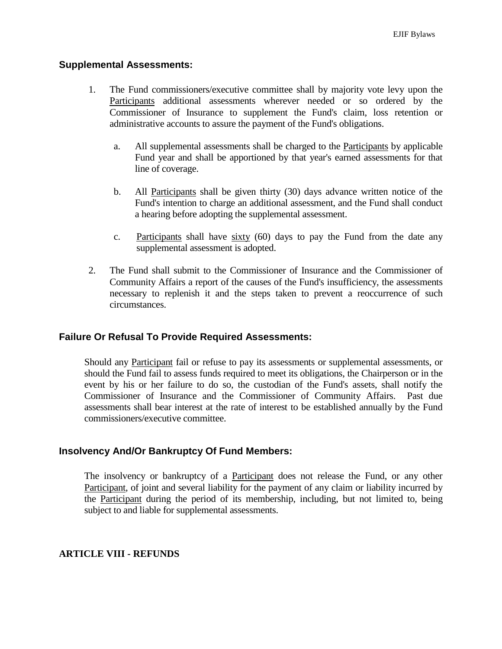### **Supplemental Assessments:**

- 1. The Fund commissioners/executive committee shall by majority vote levy upon the Participants additional assessments wherever needed or so ordered by the Commissioner of Insurance to supplement the Fund's claim, loss retention or administrative accounts to assure the payment of the Fund's obligations.
	- a. All supplemental assessments shall be charged to the Participants by applicable Fund year and shall be apportioned by that year's earned assessments for that line of coverage.
	- b. All Participants shall be given thirty (30) days advance written notice of the Fund's intention to charge an additional assessment, and the Fund shall conduct a hearing before adopting the supplemental assessment.
	- c. Participants shall have sixty (60) days to pay the Fund from the date any supplemental assessment is adopted.
- 2. The Fund shall submit to the Commissioner of Insurance and the Commissioner of Community Affairs a report of the causes of the Fund's insufficiency, the assessments necessary to replenish it and the steps taken to prevent a reoccurrence of such circumstances.

### **Failure Or Refusal To Provide Required Assessments:**

Should any Participant fail or refuse to pay its assessments or supplemental assessments, or should the Fund fail to assess funds required to meet its obligations, the Chairperson or in the event by his or her failure to do so, the custodian of the Fund's assets, shall notify the Commissioner of Insurance and the Commissioner of Community Affairs. Past due assessments shall bear interest at the rate of interest to be established annually by the Fund commissioners/executive committee.

### **Insolvency And/Or Bankruptcy Of Fund Members:**

The insolvency or bankruptcy of a **Participant** does not release the Fund, or any other Participant, of joint and several liability for the payment of any claim or liability incurred by the Participant during the period of its membership, including, but not limited to, being subject to and liable for supplemental assessments.

#### **ARTICLE VIII - REFUNDS**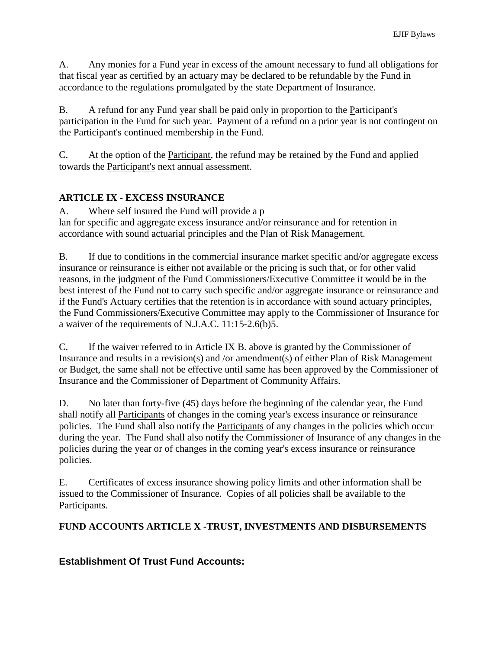A. Any monies for a Fund year in excess of the amount necessary to fund all obligations for that fiscal year as certified by an actuary may be declared to be refundable by the Fund in accordance to the regulations promulgated by the state Department of Insurance.

B. A refund for any Fund year shall be paid only in proportion to the Participant's participation in the Fund for such year. Payment of a refund on a prior year is not contingent on the Participant's continued membership in the Fund.

C. At the option of the Participant, the refund may be retained by the Fund and applied towards the Participant's next annual assessment.

# **ARTICLE IX - EXCESS INSURANCE**

A. Where self insured the Fund will provide a p lan for specific and aggregate excess insurance and/or reinsurance and for retention in accordance with sound actuarial principles and the Plan of Risk Management.

B. If due to conditions in the commercial insurance market specific and/or aggregate excess insurance or reinsurance is either not available or the pricing is such that, or for other valid reasons, in the judgment of the Fund Commissioners/Executive Committee it would be in the best interest of the Fund not to carry such specific and/or aggregate insurance or reinsurance and if the Fund's Actuary certifies that the retention is in accordance with sound actuary principles, the Fund Commissioners/Executive Committee may apply to the Commissioner of Insurance for a waiver of the requirements of N.J.A.C. 11:15-2.6(b)5.

C. If the waiver referred to in Article IX B. above is granted by the Commissioner of Insurance and results in a revision(s) and /or amendment(s) of either Plan of Risk Management or Budget, the same shall not be effective until same has been approved by the Commissioner of Insurance and the Commissioner of Department of Community Affairs.

D. No later than forty-five (45) days before the beginning of the calendar year, the Fund shall notify all Participants of changes in the coming year's excess insurance or reinsurance policies. The Fund shall also notify the Participants of any changes in the policies which occur during the year. The Fund shall also notify the Commissioner of Insurance of any changes in the policies during the year or of changes in the coming year's excess insurance or reinsurance policies.

E. Certificates of excess insurance showing policy limits and other information shall be issued to the Commissioner of Insurance. Copies of all policies shall be available to the Participants.

# **FUND ACCOUNTS ARTICLE X -TRUST, INVESTMENTS AND DISBURSEMENTS**

# **Establishment Of Trust Fund Accounts:**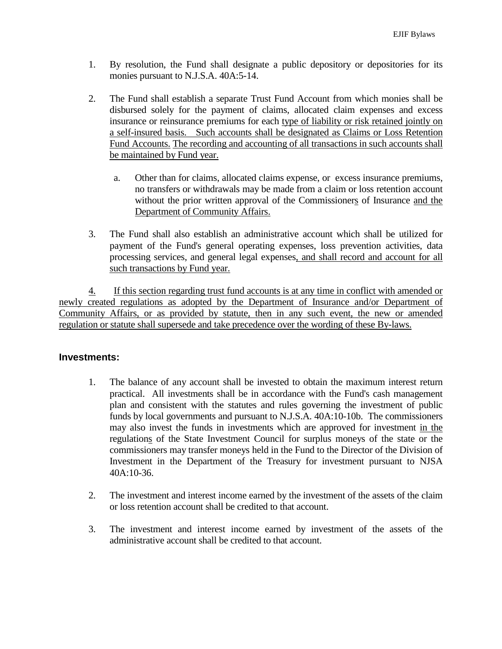- 1. By resolution, the Fund shall designate a public depository or depositories for its monies pursuant to N.J.S.A. 40A:5-14.
- 2. The Fund shall establish a separate Trust Fund Account from which monies shall be disbursed solely for the payment of claims, allocated claim expenses and excess insurance or reinsurance premiums for each type of liability or risk retained jointly on a self-insured basis. Such accounts shall be designated as Claims or Loss Retention Fund Accounts. The recording and accounting of all transactions in such accounts shall be maintained by Fund year.
	- a. Other than for claims, allocated claims expense, or excess insurance premiums, no transfers or withdrawals may be made from a claim or loss retention account without the prior written approval of the Commissioners of Insurance and the Department of Community Affairs.
- 3. The Fund shall also establish an administrative account which shall be utilized for payment of the Fund's general operating expenses, loss prevention activities, data processing services, and general legal expenses, and shall record and account for all such transactions by Fund year.

4. If this section regarding trust fund accounts is at any time in conflict with amended or newly created regulations as adopted by the Department of Insurance and/or Department of Community Affairs, or as provided by statute, then in any such event, the new or amended regulation or statute shall supersede and take precedence over the wording of these By-laws.

### **Investments:**

- 1. The balance of any account shall be invested to obtain the maximum interest return practical. All investments shall be in accordance with the Fund's cash management plan and consistent with the statutes and rules governing the investment of public funds by local governments and pursuant to N.J.S.A. 40A:10-10b. The commissioners may also invest the funds in investments which are approved for investment in the regulations of the State Investment Council for surplus moneys of the state or the commissioners may transfer moneys held in the Fund to the Director of the Division of Investment in the Department of the Treasury for investment pursuant to NJSA 40A:10-36.
- 2. The investment and interest income earned by the investment of the assets of the claim or loss retention account shall be credited to that account.
- 3. The investment and interest income earned by investment of the assets of the administrative account shall be credited to that account.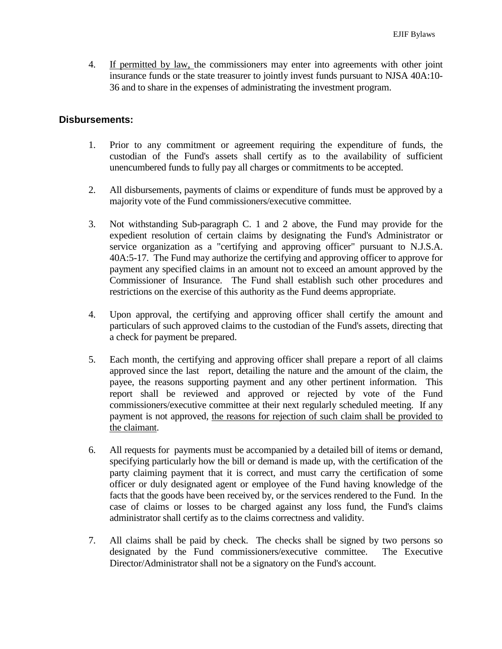4. If permitted by law, the commissioners may enter into agreements with other joint insurance funds or the state treasurer to jointly invest funds pursuant to NJSA 40A:10- 36 and to share in the expenses of administrating the investment program.

### **Disbursements:**

- 1. Prior to any commitment or agreement requiring the expenditure of funds, the custodian of the Fund's assets shall certify as to the availability of sufficient unencumbered funds to fully pay all charges or commitments to be accepted.
- 2. All disbursements, payments of claims or expenditure of funds must be approved by a majority vote of the Fund commissioners/executive committee.
- 3. Not withstanding Sub-paragraph C. 1 and 2 above, the Fund may provide for the expedient resolution of certain claims by designating the Fund's Administrator or service organization as a "certifying and approving officer" pursuant to N.J.S.A. 40A:5-17. The Fund may authorize the certifying and approving officer to approve for payment any specified claims in an amount not to exceed an amount approved by the Commissioner of Insurance. The Fund shall establish such other procedures and restrictions on the exercise of this authority as the Fund deems appropriate.
- 4. Upon approval, the certifying and approving officer shall certify the amount and particulars of such approved claims to the custodian of the Fund's assets, directing that a check for payment be prepared.
- 5. Each month, the certifying and approving officer shall prepare a report of all claims approved since the last report, detailing the nature and the amount of the claim, the payee, the reasons supporting payment and any other pertinent information. This report shall be reviewed and approved or rejected by vote of the Fund commissioners/executive committee at their next regularly scheduled meeting. If any payment is not approved, the reasons for rejection of such claim shall be provided to the claimant.
- 6. All requests for payments must be accompanied by a detailed bill of items or demand, specifying particularly how the bill or demand is made up, with the certification of the party claiming payment that it is correct, and must carry the certification of some officer or duly designated agent or employee of the Fund having knowledge of the facts that the goods have been received by, or the services rendered to the Fund. In the case of claims or losses to be charged against any loss fund, the Fund's claims administrator shall certify as to the claims correctness and validity.
- 7. All claims shall be paid by check. The checks shall be signed by two persons so designated by the Fund commissioners/executive committee. The Executive Director/Administrator shall not be a signatory on the Fund's account.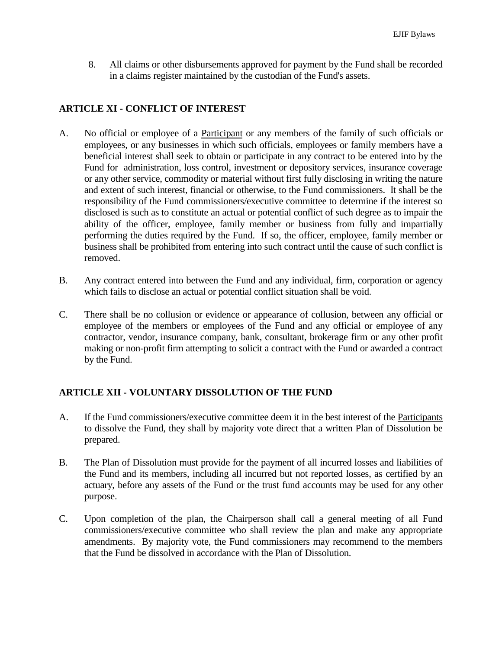8. All claims or other disbursements approved for payment by the Fund shall be recorded in a claims register maintained by the custodian of the Fund's assets.

# **ARTICLE XI - CONFLICT OF INTEREST**

- A. No official or employee of a Participant or any members of the family of such officials or employees, or any businesses in which such officials, employees or family members have a beneficial interest shall seek to obtain or participate in any contract to be entered into by the Fund for administration, loss control, investment or depository services, insurance coverage or any other service, commodity or material without first fully disclosing in writing the nature and extent of such interest, financial or otherwise, to the Fund commissioners. It shall be the responsibility of the Fund commissioners/executive committee to determine if the interest so disclosed is such as to constitute an actual or potential conflict of such degree as to impair the ability of the officer, employee, family member or business from fully and impartially performing the duties required by the Fund. If so, the officer, employee, family member or business shall be prohibited from entering into such contract until the cause of such conflict is removed.
- B. Any contract entered into between the Fund and any individual, firm, corporation or agency which fails to disclose an actual or potential conflict situation shall be void.
- C. There shall be no collusion or evidence or appearance of collusion, between any official or employee of the members or employees of the Fund and any official or employee of any contractor, vendor, insurance company, bank, consultant, brokerage firm or any other profit making or non-profit firm attempting to solicit a contract with the Fund or awarded a contract by the Fund.

# **ARTICLE XII - VOLUNTARY DISSOLUTION OF THE FUND**

- A. If the Fund commissioners/executive committee deem it in the best interest of the Participants to dissolve the Fund, they shall by majority vote direct that a written Plan of Dissolution be prepared.
- B. The Plan of Dissolution must provide for the payment of all incurred losses and liabilities of the Fund and its members, including all incurred but not reported losses, as certified by an actuary, before any assets of the Fund or the trust fund accounts may be used for any other purpose.
- C. Upon completion of the plan, the Chairperson shall call a general meeting of all Fund commissioners/executive committee who shall review the plan and make any appropriate amendments. By majority vote, the Fund commissioners may recommend to the members that the Fund be dissolved in accordance with the Plan of Dissolution.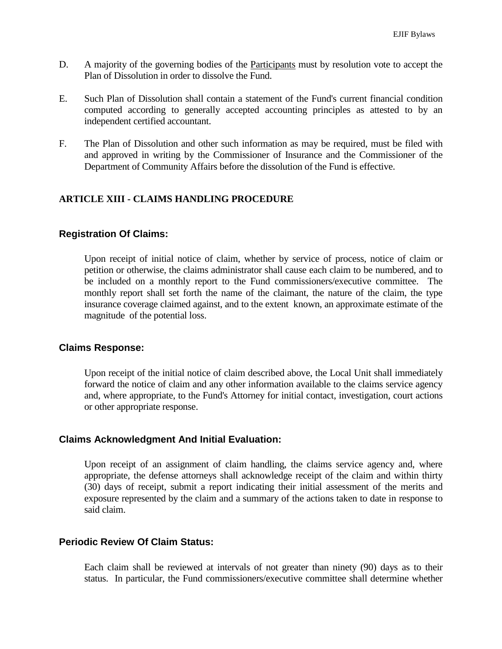- D. A majority of the governing bodies of the Participants must by resolution vote to accept the Plan of Dissolution in order to dissolve the Fund.
- E. Such Plan of Dissolution shall contain a statement of the Fund's current financial condition computed according to generally accepted accounting principles as attested to by an independent certified accountant.
- F. The Plan of Dissolution and other such information as may be required, must be filed with and approved in writing by the Commissioner of Insurance and the Commissioner of the Department of Community Affairs before the dissolution of the Fund is effective.

### **ARTICLE XIII - CLAIMS HANDLING PROCEDURE**

#### **Registration Of Claims:**

Upon receipt of initial notice of claim, whether by service of process, notice of claim or petition or otherwise, the claims administrator shall cause each claim to be numbered, and to be included on a monthly report to the Fund commissioners/executive committee. The monthly report shall set forth the name of the claimant, the nature of the claim, the type insurance coverage claimed against, and to the extent known, an approximate estimate of the magnitude of the potential loss.

#### **Claims Response:**

Upon receipt of the initial notice of claim described above, the Local Unit shall immediately forward the notice of claim and any other information available to the claims service agency and, where appropriate, to the Fund's Attorney for initial contact, investigation, court actions or other appropriate response.

### **Claims Acknowledgment And Initial Evaluation:**

Upon receipt of an assignment of claim handling, the claims service agency and, where appropriate, the defense attorneys shall acknowledge receipt of the claim and within thirty (30) days of receipt, submit a report indicating their initial assessment of the merits and exposure represented by the claim and a summary of the actions taken to date in response to said claim.

### **Periodic Review Of Claim Status:**

Each claim shall be reviewed at intervals of not greater than ninety (90) days as to their status. In particular, the Fund commissioners/executive committee shall determine whether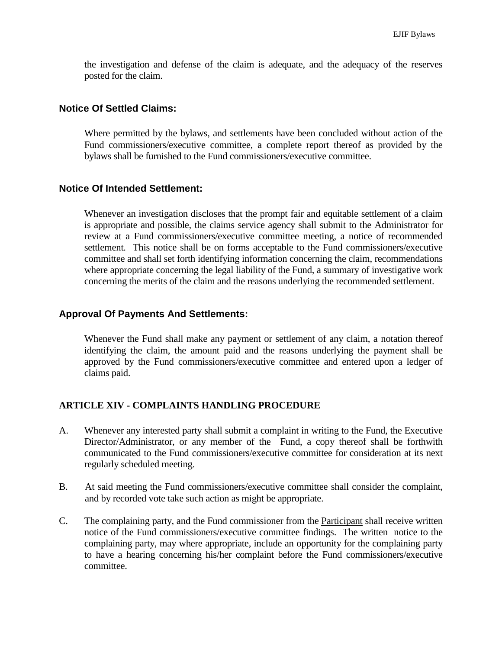the investigation and defense of the claim is adequate, and the adequacy of the reserves posted for the claim.

### **Notice Of Settled Claims:**

Where permitted by the bylaws, and settlements have been concluded without action of the Fund commissioners/executive committee, a complete report thereof as provided by the bylaws shall be furnished to the Fund commissioners/executive committee.

### **Notice Of Intended Settlement:**

Whenever an investigation discloses that the prompt fair and equitable settlement of a claim is appropriate and possible, the claims service agency shall submit to the Administrator for review at a Fund commissioners/executive committee meeting, a notice of recommended settlement. This notice shall be on forms acceptable to the Fund commissioners/executive committee and shall set forth identifying information concerning the claim, recommendations where appropriate concerning the legal liability of the Fund, a summary of investigative work concerning the merits of the claim and the reasons underlying the recommended settlement.

### **Approval Of Payments And Settlements:**

Whenever the Fund shall make any payment or settlement of any claim, a notation thereof identifying the claim, the amount paid and the reasons underlying the payment shall be approved by the Fund commissioners/executive committee and entered upon a ledger of claims paid.

### **ARTICLE XIV - COMPLAINTS HANDLING PROCEDURE**

- A. Whenever any interested party shall submit a complaint in writing to the Fund, the Executive Director/Administrator, or any member of the Fund, a copy thereof shall be forthwith communicated to the Fund commissioners/executive committee for consideration at its next regularly scheduled meeting.
- B. At said meeting the Fund commissioners/executive committee shall consider the complaint, and by recorded vote take such action as might be appropriate.
- C. The complaining party, and the Fund commissioner from the Participant shall receive written notice of the Fund commissioners/executive committee findings. The written notice to the complaining party, may where appropriate, include an opportunity for the complaining party to have a hearing concerning his/her complaint before the Fund commissioners/executive committee.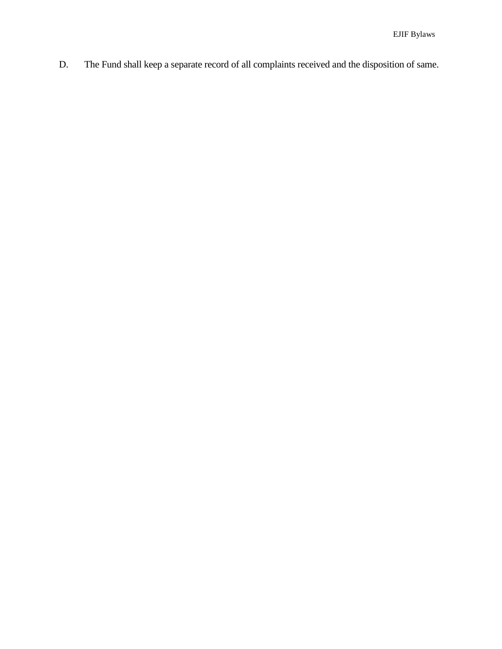D. The Fund shall keep a separate record of all complaints received and the disposition of same.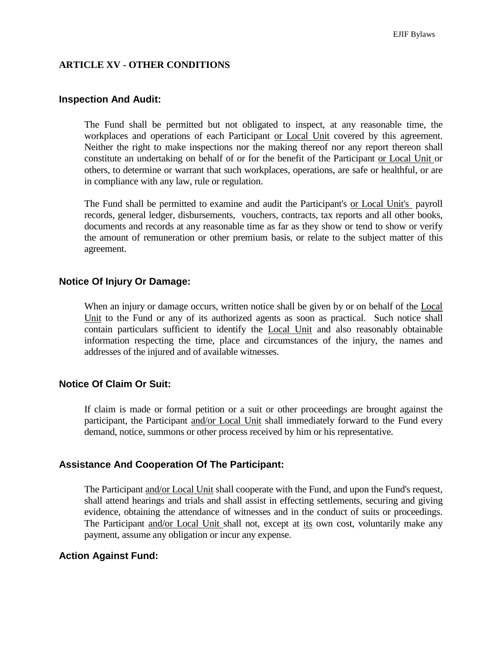### **ARTICLE XV - OTHER CONDITIONS**

### **Inspection And Audit:**

The Fund shall be permitted but not obligated to inspect, at any reasonable time, the workplaces and operations of each Participant or Local Unit covered by this agreement. Neither the right to make inspections nor the making thereof nor any report thereon shall constitute an undertaking on behalf of or for the benefit of the Participant or Local Unit or others, to determine or warrant that such workplaces, operations, are safe or healthful, or are in compliance with any law, rule or regulation.

The Fund shall be permitted to examine and audit the Participant's or Local Unit's payroll records, general ledger, disbursements, vouchers, contracts, tax reports and all other books, documents and records at any reasonable time as far as they show or tend to show or verify the amount of remuneration or other premium basis, or relate to the subject matter of this agreement.

### **Notice Of Injury Or Damage:**

When an injury or damage occurs, written notice shall be given by or on behalf of the Local Unit to the Fund or any of its authorized agents as soon as practical. Such notice shall contain particulars sufficient to identify the Local Unit and also reasonably obtainable information respecting the time, place and circumstances of the injury, the names and addresses of the injured and of available witnesses.

### **Notice Of Claim Or Suit:**

If claim is made or formal petition or a suit or other proceedings are brought against the participant, the Participant and/or Local Unit shall immediately forward to the Fund every demand, notice, summons or other process received by him or his representative.

### **Assistance And Cooperation Of The Participant:**

The Participant and/or Local Unit shall cooperate with the Fund, and upon the Fund's request, shall attend hearings and trials and shall assist in effecting settlements, securing and giving evidence, obtaining the attendance of witnesses and in the conduct of suits or proceedings. The Participant and/or Local Unit shall not, except at its own cost, voluntarily make any payment, assume any obligation or incur any expense.

### **Action Against Fund:**